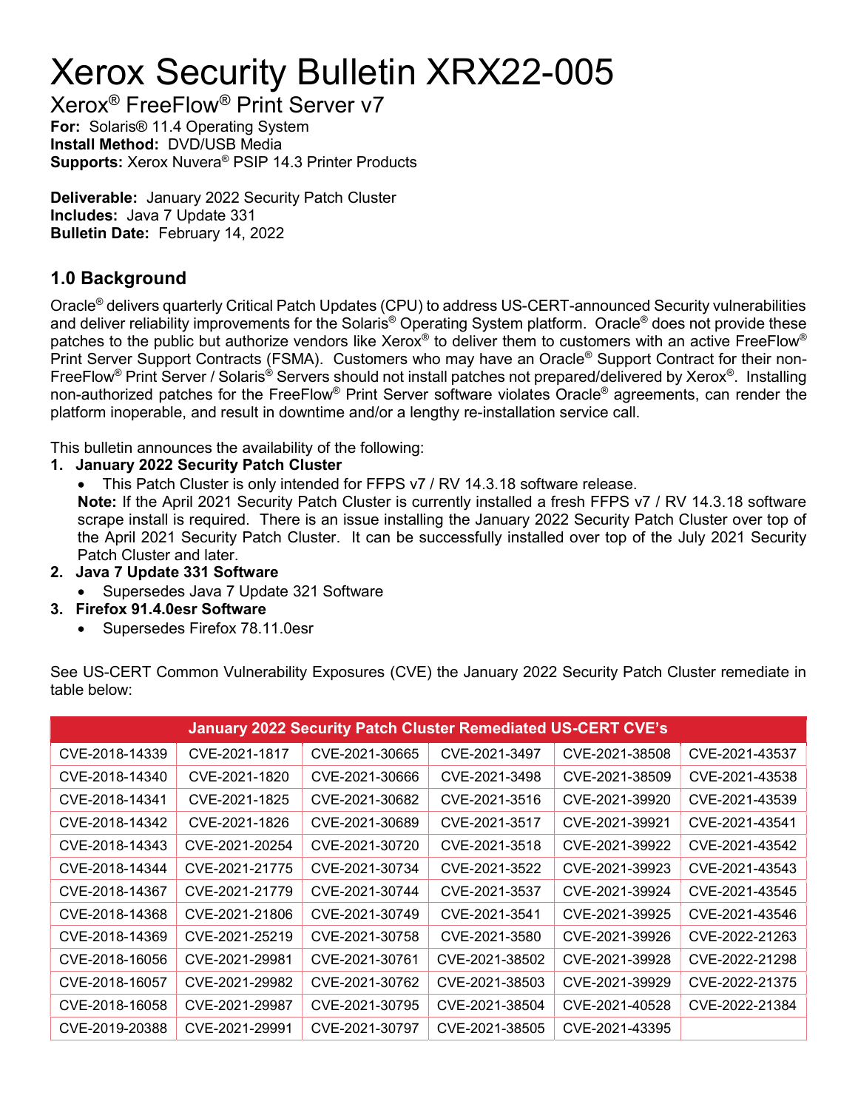# Xerox Security Bulletin XRX22-005

Xerox® FreeFlow® Print Server v7 For: Solaris® 11.4 Operating System Install Method: DVD/USB Media Supports: Xerox Nuvera® PSIP 14.3 Printer Products

Deliverable: January 2022 Security Patch Cluster Includes: Java 7 Update 331 Bulletin Date: February 14, 2022

## 1.0 Background

Oracle® delivers quarterly Critical Patch Updates (CPU) to address US-CERT-announced Security vulnerabilities and deliver reliability improvements for the Solaris® Operating System platform. Oracle® does not provide these patches to the public but authorize vendors like Xerox® to deliver them to customers with an active FreeFlow® Print Server Support Contracts (FSMA). Customers who may have an Oracle® Support Contract for their non-FreeFlow® Print Server / Solaris® Servers should not install patches not prepared/delivered by Xerox®. Installing non-authorized patches for the FreeFlow® Print Server software violates Oracle® agreements, can render the platform inoperable, and result in downtime and/or a lengthy re-installation service call.

This bulletin announces the availability of the following:

#### 1. January 2022 Security Patch Cluster

This Patch Cluster is only intended for FFPS v7 / RV 14.3.18 software release.

Note: If the April 2021 Security Patch Cluster is currently installed a fresh FFPS v7 / RV 14.3.18 software scrape install is required. There is an issue installing the January 2022 Security Patch Cluster over top of the April 2021 Security Patch Cluster. It can be successfully installed over top of the July 2021 Security Patch Cluster and later.

- 2. Java 7 Update 331 Software
	- Supersedes Java 7 Update 321 Software
- 3. Firefox 91.4.0esr Software
	- Supersedes Firefox 78.11.0esr

See US-CERT Common Vulnerability Exposures (CVE) the January 2022 Security Patch Cluster remediate in table below:

| <b>January 2022 Security Patch Cluster Remediated US-CERT CVE's</b> |                |                |                |                |                |
|---------------------------------------------------------------------|----------------|----------------|----------------|----------------|----------------|
| CVE-2018-14339                                                      | CVE-2021-1817  | CVE-2021-30665 | CVE-2021-3497  | CVE-2021-38508 | CVE-2021-43537 |
| CVE-2018-14340                                                      | CVE-2021-1820  | CVE-2021-30666 | CVE-2021-3498  | CVE-2021-38509 | CVE-2021-43538 |
| CVE-2018-14341                                                      | CVE-2021-1825  | CVE-2021-30682 | CVE-2021-3516  | CVE-2021-39920 | CVE-2021-43539 |
| CVE-2018-14342                                                      | CVE-2021-1826  | CVE-2021-30689 | CVE-2021-3517  | CVE-2021-39921 | CVE-2021-43541 |
| CVE-2018-14343                                                      | CVE-2021-20254 | CVE-2021-30720 | CVE-2021-3518  | CVE-2021-39922 | CVE-2021-43542 |
| CVE-2018-14344                                                      | CVE-2021-21775 | CVE-2021-30734 | CVE-2021-3522  | CVE-2021-39923 | CVE-2021-43543 |
| CVE-2018-14367                                                      | CVE-2021-21779 | CVE-2021-30744 | CVE-2021-3537  | CVE-2021-39924 | CVE-2021-43545 |
| CVE-2018-14368                                                      | CVE-2021-21806 | CVE-2021-30749 | CVE-2021-3541  | CVE-2021-39925 | CVE-2021-43546 |
| CVE-2018-14369                                                      | CVE-2021-25219 | CVE-2021-30758 | CVE-2021-3580  | CVE-2021-39926 | CVE-2022-21263 |
| CVE-2018-16056                                                      | CVE-2021-29981 | CVE-2021-30761 | CVE-2021-38502 | CVE-2021-39928 | CVE-2022-21298 |
| CVE-2018-16057                                                      | CVE-2021-29982 | CVE-2021-30762 | CVE-2021-38503 | CVE-2021-39929 | CVE-2022-21375 |
| CVE-2018-16058                                                      | CVE-2021-29987 | CVE-2021-30795 | CVE-2021-38504 | CVE-2021-40528 | CVE-2022-21384 |
| CVE-2019-20388                                                      | CVE-2021-29991 | CVE-2021-30797 | CVE-2021-38505 | CVE-2021-43395 |                |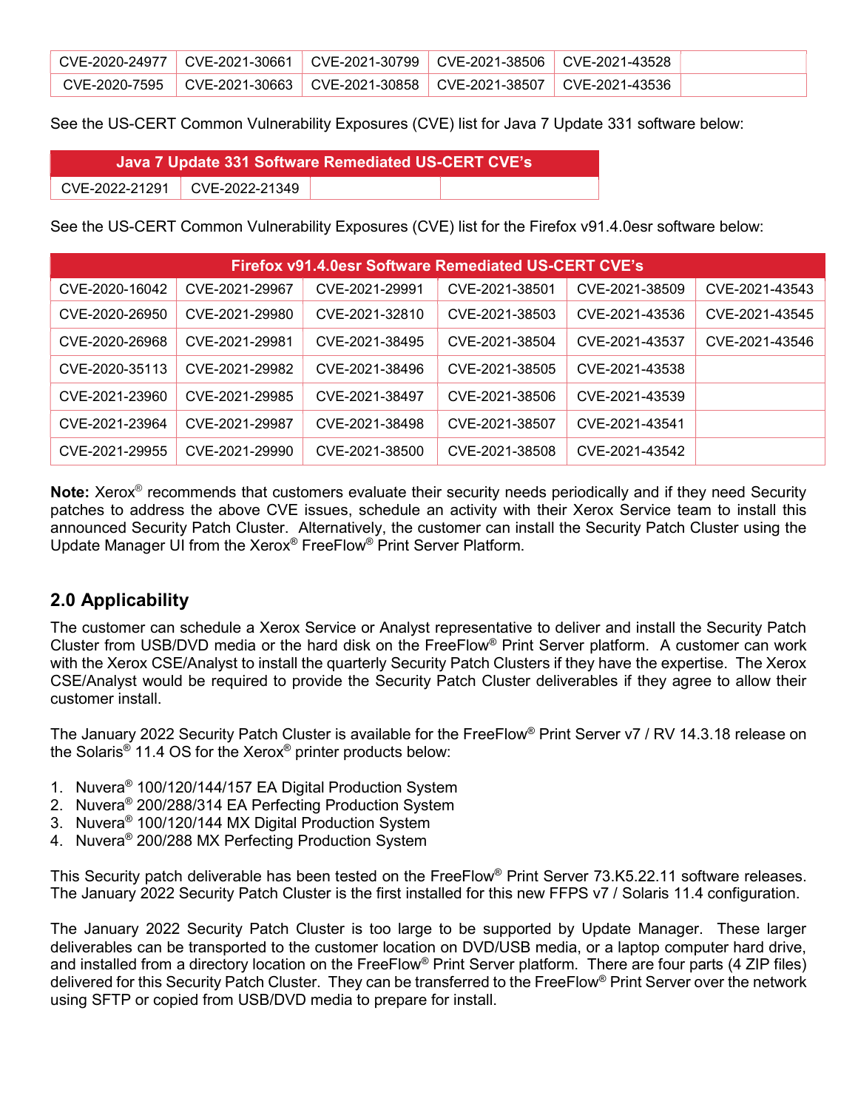|  | CVE-2020-24977 CVE-2021-30661 CVE-2021-30799 CVE-2021-38506 CVE-2021-43528        |  |  |
|--|-----------------------------------------------------------------------------------|--|--|
|  | CVE-2020-7595   CVE-2021-30663   CVE-2021-30858   CVE-2021-38507   CVE-2021-43536 |  |  |

See the US-CERT Common Vulnerability Exposures (CVE) list for Java 7 Update 331 software below:

| Java 7 Update 331 Software Remediated US-CERT CVE's |                                 |  |  |  |  |  |
|-----------------------------------------------------|---------------------------------|--|--|--|--|--|
|                                                     | CVE-2022-21291   CVE-2022-21349 |  |  |  |  |  |

See the US-CERT Common Vulnerability Exposures (CVE) list for the Firefox v91.4.0esr software below:

| Firefox v91.4.0esr Software Remediated US-CERT CVE's |                |                |                |                |                |
|------------------------------------------------------|----------------|----------------|----------------|----------------|----------------|
| CVE-2020-16042                                       | CVE-2021-29967 | CVE-2021-29991 | CVE-2021-38501 | CVE-2021-38509 | CVE-2021-43543 |
| CVE-2020-26950                                       | CVE-2021-29980 | CVE-2021-32810 | CVE-2021-38503 | CVE-2021-43536 | CVE-2021-43545 |
| CVE-2020-26968                                       | CVE-2021-29981 | CVE-2021-38495 | CVE-2021-38504 | CVE-2021-43537 | CVE-2021-43546 |
| CVE-2020-35113                                       | CVE-2021-29982 | CVE-2021-38496 | CVE-2021-38505 | CVE-2021-43538 |                |
| CVE-2021-23960                                       | CVE-2021-29985 | CVE-2021-38497 | CVE-2021-38506 | CVE-2021-43539 |                |
| CVE-2021-23964                                       | CVE-2021-29987 | CVE-2021-38498 | CVE-2021-38507 | CVE-2021-43541 |                |
| CVE-2021-29955                                       | CVE-2021-29990 | CVE-2021-38500 | CVE-2021-38508 | CVE-2021-43542 |                |

Note: Xerox<sup>®</sup> recommends that customers evaluate their security needs periodically and if they need Security patches to address the above CVE issues, schedule an activity with their Xerox Service team to install this announced Security Patch Cluster. Alternatively, the customer can install the Security Patch Cluster using the Update Manager UI from the Xerox® FreeFlow® Print Server Platform.

### 2.0 Applicability

The customer can schedule a Xerox Service or Analyst representative to deliver and install the Security Patch Cluster from USB/DVD media or the hard disk on the FreeFlow® Print Server platform. A customer can work with the Xerox CSE/Analyst to install the quarterly Security Patch Clusters if they have the expertise. The Xerox CSE/Analyst would be required to provide the Security Patch Cluster deliverables if they agree to allow their customer install.

The January 2022 Security Patch Cluster is available for the FreeFlow® Print Server v7 / RV 14.3.18 release on the Solaris® 11.4 OS for the Xerox® printer products below:

- 1. Nuvera® 100/120/144/157 EA Digital Production System
- 2. Nuvera® 200/288/314 EA Perfecting Production System
- 3. Nuvera® 100/120/144 MX Digital Production System
- 4. Nuvera® 200/288 MX Perfecting Production System

This Security patch deliverable has been tested on the FreeFlow® Print Server 73.K5.22.11 software releases. The January 2022 Security Patch Cluster is the first installed for this new FFPS v7 / Solaris 11.4 configuration.

The January 2022 Security Patch Cluster is too large to be supported by Update Manager. These larger deliverables can be transported to the customer location on DVD/USB media, or a laptop computer hard drive, and installed from a directory location on the FreeFlow® Print Server platform. There are four parts (4 ZIP files) delivered for this Security Patch Cluster. They can be transferred to the FreeFlow® Print Server over the network using SFTP or copied from USB/DVD media to prepare for install.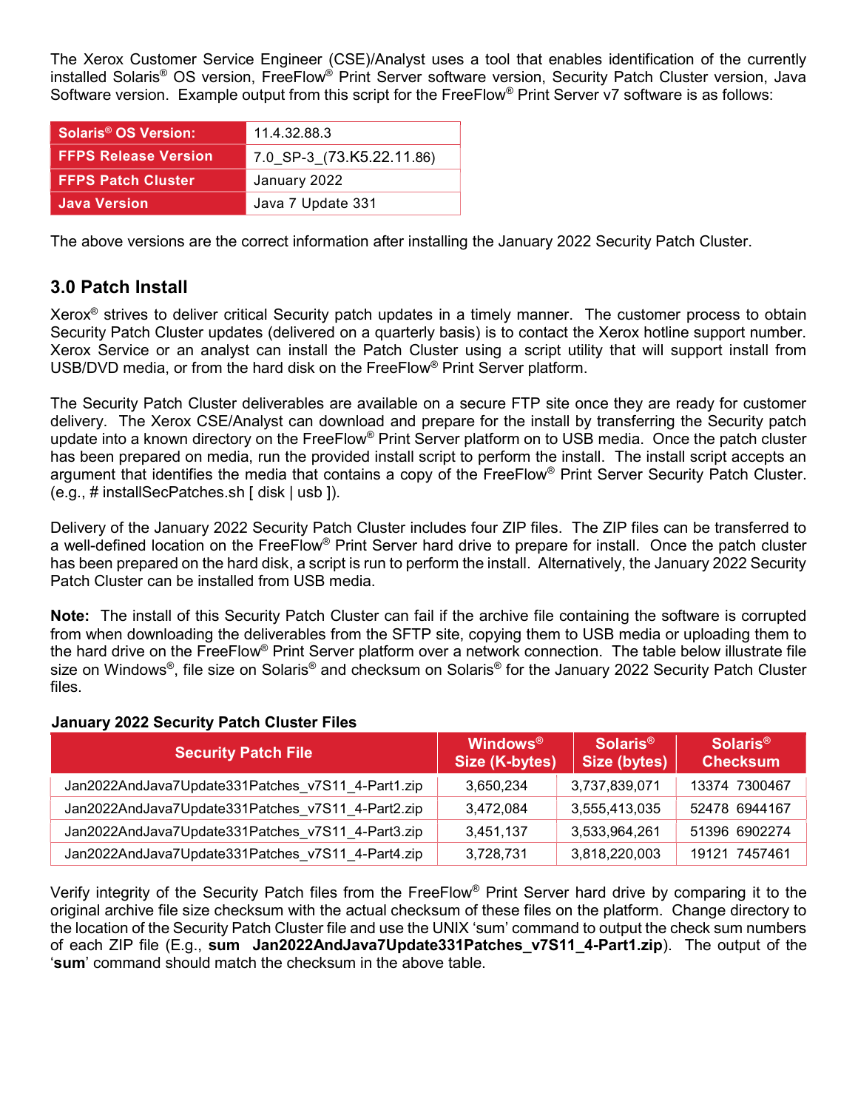The Xerox Customer Service Engineer (CSE)/Analyst uses a tool that enables identification of the currently installed Solaris® OS version, FreeFlow® Print Server software version, Security Patch Cluster version, Java Software version. Example output from this script for the FreeFlow® Print Server v7 software is as follows:

| Solaris <sup>®</sup> OS Version: | 11.4.32.88.3              |  |  |
|----------------------------------|---------------------------|--|--|
| <b>FFPS Release Version</b>      | 7.0 SP-3 (73.K5.22.11.86) |  |  |
| <b>FFPS Patch Cluster</b>        | January 2022              |  |  |
| <b>Java Version</b>              | Java 7 Update 331         |  |  |

The above versions are the correct information after installing the January 2022 Security Patch Cluster.

## 3.0 Patch Install

Xerox® strives to deliver critical Security patch updates in a timely manner. The customer process to obtain Security Patch Cluster updates (delivered on a quarterly basis) is to contact the Xerox hotline support number. Xerox Service or an analyst can install the Patch Cluster using a script utility that will support install from USB/DVD media, or from the hard disk on the FreeFlow® Print Server platform.

The Security Patch Cluster deliverables are available on a secure FTP site once they are ready for customer delivery. The Xerox CSE/Analyst can download and prepare for the install by transferring the Security patch update into a known directory on the FreeFlow® Print Server platform on to USB media. Once the patch cluster has been prepared on media, run the provided install script to perform the install. The install script accepts an argument that identifies the media that contains a copy of the FreeFlow® Print Server Security Patch Cluster. (e.g., # installSecPatches.sh [ disk | usb ]).

Delivery of the January 2022 Security Patch Cluster includes four ZIP files. The ZIP files can be transferred to a well-defined location on the FreeFlow® Print Server hard drive to prepare for install. Once the patch cluster has been prepared on the hard disk, a script is run to perform the install. Alternatively, the January 2022 Security Patch Cluster can be installed from USB media.

Note: The install of this Security Patch Cluster can fail if the archive file containing the software is corrupted from when downloading the deliverables from the SFTP site, copying them to USB media or uploading them to the hard drive on the FreeFlow® Print Server platform over a network connection. The table below illustrate file size on Windows®, file size on Solaris® and checksum on Solaris® for the January 2022 Security Patch Cluster files.

#### January 2022 Security Patch Cluster Files

| <b>Security Patch File</b>                        | <b>Windows</b> <sup>®</sup><br>Size (K-bytes) | Solaris <sup>®</sup><br>Size (bytes) | Solaris <sup>®</sup><br><b>Checksum</b> |
|---------------------------------------------------|-----------------------------------------------|--------------------------------------|-----------------------------------------|
| Jan2022AndJava7Update331Patches_v7S11_4-Part1.zip | 3,650,234                                     | 3,737,839,071                        | 13374 7300467                           |
| Jan2022AndJava7Update331Patches_v7S11_4-Part2.zip | 3,472,084                                     | 3,555,413,035                        | 52478 6944167                           |
| Jan2022AndJava7Update331Patches v7S11 4-Part3.zip | 3,451,137                                     | 3,533,964,261                        | 51396 6902274                           |
| Jan2022AndJava7Update331Patches v7S11 4-Part4.zip | 3,728,731                                     | 3,818,220,003                        | 19121 7457461                           |

Verify integrity of the Security Patch files from the FreeFlow® Print Server hard drive by comparing it to the original archive file size checksum with the actual checksum of these files on the platform. Change directory to the location of the Security Patch Cluster file and use the UNIX 'sum' command to output the check sum numbers of each ZIP file (E.g., sum Jan2022AndJava7Update331Patches\_v7S11\_4-Part1.zip). The output of the 'sum' command should match the checksum in the above table.